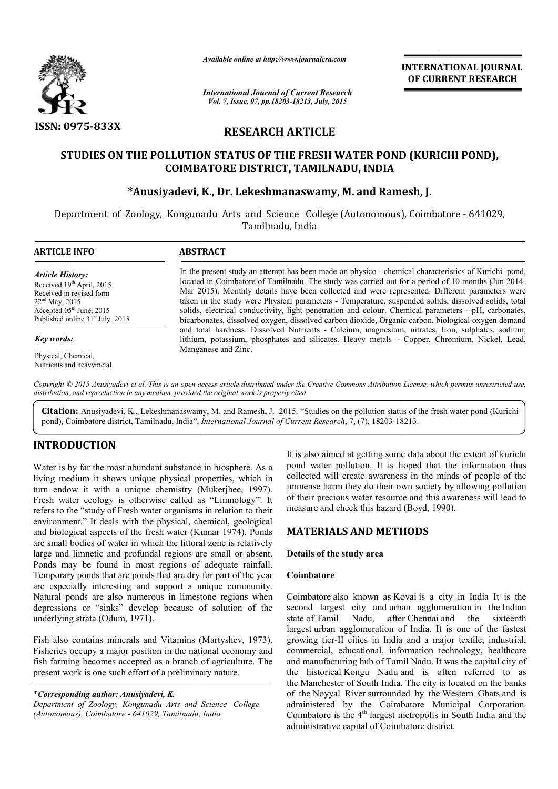

*Available online at http://www.journalcra.com*

# RESEARCH ARTICLE

# STUDIES ON THE POLLUTION STATUS OF THE FRESH WATER POND (KURICHI POND),<br>COIMBATORE DISTRICT, TAMILNADU, INDIA<br>Anusiyadevi, K., Dr. Lekeshmanaswamy, M. and Ramesh, J.\* COIMBATORE DISTRICT, TAMILNADU, INDIA

# \*Anusiyadevi, K., Dr. Lekeshmanaswamy, M. and Ramesh, J.

|                                                                                                                                                                                                                    | лтините опине иг пир.// www.journaicra.com                                                                                                                                                                                                                                                                                                                                                                                                                                                                                                                                                                                                                                                                                                                                                                                                                    | <b>INTERNATIONAL JOURNAL</b><br>OF CURRENT RESEARCH |                                                                                                                                                                                                                                                                                                                                       |  |  |  |  |
|--------------------------------------------------------------------------------------------------------------------------------------------------------------------------------------------------------------------|---------------------------------------------------------------------------------------------------------------------------------------------------------------------------------------------------------------------------------------------------------------------------------------------------------------------------------------------------------------------------------------------------------------------------------------------------------------------------------------------------------------------------------------------------------------------------------------------------------------------------------------------------------------------------------------------------------------------------------------------------------------------------------------------------------------------------------------------------------------|-----------------------------------------------------|---------------------------------------------------------------------------------------------------------------------------------------------------------------------------------------------------------------------------------------------------------------------------------------------------------------------------------------|--|--|--|--|
|                                                                                                                                                                                                                    | <b>International Journal of Current Research</b><br>Vol. 7, Issue, 07, pp.18203-18213, July, 2015                                                                                                                                                                                                                                                                                                                                                                                                                                                                                                                                                                                                                                                                                                                                                             |                                                     |                                                                                                                                                                                                                                                                                                                                       |  |  |  |  |
| ISSN: 0975-833X                                                                                                                                                                                                    | <b>RESEARCH ARTICLE</b>                                                                                                                                                                                                                                                                                                                                                                                                                                                                                                                                                                                                                                                                                                                                                                                                                                       |                                                     |                                                                                                                                                                                                                                                                                                                                       |  |  |  |  |
|                                                                                                                                                                                                                    | STUDIES ON THE POLLUTION STATUS OF THE FRESH WATER POND (KURICHI POND),<br>COIMBATORE DISTRICT, TAMILNADU, INDIA                                                                                                                                                                                                                                                                                                                                                                                                                                                                                                                                                                                                                                                                                                                                              |                                                     |                                                                                                                                                                                                                                                                                                                                       |  |  |  |  |
|                                                                                                                                                                                                                    | *Anusiyadevi, K., Dr. Lekeshmanaswamy, M. and Ramesh, J.                                                                                                                                                                                                                                                                                                                                                                                                                                                                                                                                                                                                                                                                                                                                                                                                      | Tamilnadu, India                                    | Department of Zoology, Kongunadu Arts and Science College (Autonomous), Coimbatore - 641029,                                                                                                                                                                                                                                          |  |  |  |  |
| <b>ARTICLE INFO</b>                                                                                                                                                                                                | <b>ABSTRACT</b>                                                                                                                                                                                                                                                                                                                                                                                                                                                                                                                                                                                                                                                                                                                                                                                                                                               |                                                     |                                                                                                                                                                                                                                                                                                                                       |  |  |  |  |
| <b>Article History:</b><br>Received 19 <sup>th</sup> April, 2015<br>Received in revised form<br>22 <sup>nd</sup> May, 2015<br>Accepted 05 <sup>th</sup> June, 2015<br>Published online 31 <sup>st</sup> July, 2015 | In the present study an attempt has been made on physico - chemical characteristics of Kurichi pond,<br>located in Coimbatore of Tamilnadu. The study was carried out for a period of 10 months (Jun 2014-<br>Mar 2015). Monthly details have been collected and were represented. Different parameters were<br>taken in the study were Physical parameters - Temperature, suspended solids, dissolved solids, total<br>solids, electrical conductivity, light penetration and colour. Chemical parameters - pH, carbonates,<br>bicarbonates, dissolved oxygen, dissolved carbon dioxide, Organic carbon, biological oxygen demand<br>and total hardness. Dissolved Nutrients - Calcium, magnesium, nitrates, Iron, sulphates, sodium,<br>lithium, potassium, phosphates and silicates. Heavy metals - Copper, Chromium, Nickel, Lead,<br>Manganese and Zinc. |                                                     |                                                                                                                                                                                                                                                                                                                                       |  |  |  |  |
| Key words:                                                                                                                                                                                                         |                                                                                                                                                                                                                                                                                                                                                                                                                                                                                                                                                                                                                                                                                                                                                                                                                                                               |                                                     |                                                                                                                                                                                                                                                                                                                                       |  |  |  |  |
| Physical, Chemical,<br>Nutrients and heavymetal.                                                                                                                                                                   |                                                                                                                                                                                                                                                                                                                                                                                                                                                                                                                                                                                                                                                                                                                                                                                                                                                               |                                                     |                                                                                                                                                                                                                                                                                                                                       |  |  |  |  |
|                                                                                                                                                                                                                    | distribution, and reproduction in any medium, provided the original work is properly cited.                                                                                                                                                                                                                                                                                                                                                                                                                                                                                                                                                                                                                                                                                                                                                                   |                                                     | Copyright © 2015 Anusiyadevi et al. This is an open access article distributed under the Creative Commons Attribution License, which permits unrestricted use,                                                                                                                                                                        |  |  |  |  |
|                                                                                                                                                                                                                    | pond), Coimbatore district, Tamilnadu, India", International Journal of Current Research, 7, (7), 18203-18213.                                                                                                                                                                                                                                                                                                                                                                                                                                                                                                                                                                                                                                                                                                                                                |                                                     | Citation: Anusiyadevi, K., Lekeshmanaswamy, M. and Ramesh, J. 2015. "Studies on the pollution status of the fresh water pond (Kurichi                                                                                                                                                                                                 |  |  |  |  |
| <b>INTRODUCTION</b>                                                                                                                                                                                                | Water is by far the most abundant substance in biosphere. As a<br>living medium it shows unique physical properties, which in<br>turn endow it with a unique chemistry (Mukerjhee, 1997).<br>Fresh water ecology is otherwise called as "Limnology". It<br>refers to the "study of Fresh water organisms in relation to their<br>environment." It deals with the physical, chemical, geological                                                                                                                                                                                                                                                                                                                                                                                                                                                               | measure and check this hazard (Boyd, 1990).         | It is also aimed at getting some data about the extent of kurichi<br>pond water pollution. It is hoped that the information thus<br>collected will create awareness in the minds of people of the<br>immense harm they do their own society by allowing pollution<br>of their precious water resource and this awareness will lead to |  |  |  |  |
|                                                                                                                                                                                                                    | and biological aspects of the fresh water (Kumar 1974). Ponds<br>are small bodies of water in which the littoral zone is relatively                                                                                                                                                                                                                                                                                                                                                                                                                                                                                                                                                                                                                                                                                                                           | <b>MATERIALS AND METHODS</b>                        |                                                                                                                                                                                                                                                                                                                                       |  |  |  |  |
|                                                                                                                                                                                                                    | large and limnetic and profundal regions are small or absent.<br>Ponds may be found in most regions of adequate rainfall.                                                                                                                                                                                                                                                                                                                                                                                                                                                                                                                                                                                                                                                                                                                                     | Details of the study area                           |                                                                                                                                                                                                                                                                                                                                       |  |  |  |  |
| underlying strata (Odum, 1971).                                                                                                                                                                                    | Temporary ponds that are ponds that are dry for part of the year<br>are especially interesting and support a unique community.<br>Natural ponds are also numerous in limestone regions when<br>depressions or "sinks" develop because of solution of the                                                                                                                                                                                                                                                                                                                                                                                                                                                                                                                                                                                                      | Coimbatore<br>state of Tamil<br>Nadu,               | Coimbatore also known as Kovai is a city in India It is the<br>second largest city and urban agglomeration in the Indian<br>after Chennai and<br>the<br>sixteenth<br>largest urban agglomeration of India. It is one of the fastest                                                                                                   |  |  |  |  |
| present work is one such effort of a preliminary nature.                                                                                                                                                           | Fish also contains minerals and Vitamins (Martyshev, 1973).<br>Fisheries occupy a major position in the national economy and<br>fish farming becomes accepted as a branch of agriculture. The                                                                                                                                                                                                                                                                                                                                                                                                                                                                                                                                                                                                                                                                 |                                                     | growing tier-II cities in India and a major textile, industrial,<br>commercial, educational, information technology, healthcare<br>and manufacturing hub of Tamil Nadu. It was the capital city of<br>the historical Kongu Nadu and is often referred to as<br>the Manchester of South India. The city is located on the banks        |  |  |  |  |
| *Corresponding author: Anusiyadevi, K.<br>Department of Zoology, Kongunadu Arts and Science College<br>(Autonomous), Coimbatore - 641029, Tamilnadu, India.                                                        |                                                                                                                                                                                                                                                                                                                                                                                                                                                                                                                                                                                                                                                                                                                                                                                                                                                               |                                                     | of the Noyyal River surrounded by the Western Ghats and is<br>administered by the Coimbatore Municipal Corporation.<br>Coimbatore is the $4th$ largest metropolis in South India and the                                                                                                                                              |  |  |  |  |

# INTRODUCTION

# MATERIALS AND METHODS METHODS

#### Details of the study area

#### Coimbatore

Coimbatore also known as Kovai is a city in India It is the second largest city and urban agglomeration in the Indian state of Tamil Nadu, largest urban agglomeration of India. It is one of the fastest growing tier-II cities in India and a major textile, industrial, commercial, educational, information technology, healthcare and manufacturing hub of Tamil Nadu. It was the capital city of the historical Kongu Nadu and is often referred to as the historical Kongu Nadu and is often referred to as the Manchester of South India. The city is located on the banks of the Noyyal River surrounded by the Western Ghats and is administered by the Coimbatore Municipal Corporation. Coimbatore is the  $4<sup>th</sup>$  largest metropolis in South India and the administrative capital of Coimbatore district. after Chennai and the sixteenth urban agglomeration of India. It is one of<br>g tier-II cities in India and a major textile,<br>rcial, educational, information technology,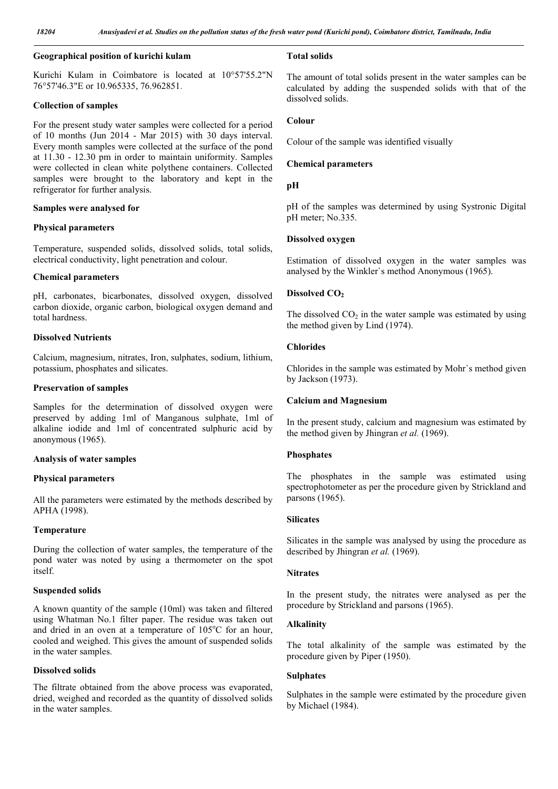# Geographical position of kurichi kulam

Kurichi Kulam in Coimbatore is located at 10°57'55.2"N 76°57'46.3"E or 10.965335, 76.962851.

#### Collection of samples

For the present study water samples were collected for a period of 10 months (Jun 2014 - Mar 2015) with 30 days interval. Every month samples were collected at the surface of the pond at 11.30 - 12.30 pm in order to maintain uniformity. Samples were collected in clean white polythene containers. Collected samples were brought to the laboratory and kept in the refrigerator for further analysis.

#### Samples were analysed for

#### Physical parameters

Temperature, suspended solids, dissolved solids, total solids, electrical conductivity, light penetration and colour.

#### Chemical parameters

pH, carbonates, bicarbonates, dissolved oxygen, dissolved carbon dioxide, organic carbon, biological oxygen demand and total hardness.

# Dissolved Nutrients

Calcium, magnesium, nitrates, Iron, sulphates, sodium, lithium, potassium, phosphates and silicates.

#### Preservation of samples

Samples for the determination of dissolved oxygen were preserved by adding 1ml of Manganous sulphate, 1ml of alkaline iodide and 1ml of concentrated sulphuric acid by anonymous (1965).

#### Analysis of water samples

# Physical parameters

All the parameters were estimated by the methods described by APHA (1998).

# Temperature

During the collection of water samples, the temperature of the pond water was noted by using a thermometer on the spot itself.

#### Suspended solids

A known quantity of the sample (10ml) was taken and filtered using Whatman No.1 filter paper. The residue was taken out and dried in an oven at a temperature of 105°C for an hour, cooled and weighed. This gives the amount of suspended solids in the water samples.

#### Dissolved solids

The filtrate obtained from the above process was evaporated, dried, weighed and recorded as the quantity of dissolved solids in the water samples.

#### Total solids

The amount of total solids present in the water samples can be calculated by adding the suspended solids with that of the dissolved solids.

#### Colour

Colour of the sample was identified visually

#### Chemical parameters

#### pH

pH of the samples was determined by using Systronic Digital pH meter; No.335.

# Dissolved oxygen

Estimation of dissolved oxygen in the water samples was analysed by the Winkler`s method Anonymous (1965).

## Dissolved CO<sub>2</sub>

The dissolved  $CO<sub>2</sub>$  in the water sample was estimated by using the method given by Lind (1974).

## Chlorides

Chlorides in the sample was estimated by Mohr`s method given by Jackson (1973).

#### Calcium and Magnesium

In the present study, calcium and magnesium was estimated by the method given by Jhingran *et al.* (1969).

# Phosphates

The phosphates in the sample was estimated using spectrophotometer as per the procedure given by Strickland and parsons (1965).

#### **Silicates**

Silicates in the sample was analysed by using the procedure as described by Jhingran *et al.* (1969).

#### **Nitrates**

In the present study, the nitrates were analysed as per the procedure by Strickland and parsons (1965).

#### Alkalinity

The total alkalinity of the sample was estimated by the procedure given by Piper (1950).

#### Sulphates

Sulphates in the sample were estimated by the procedure given by Michael (1984).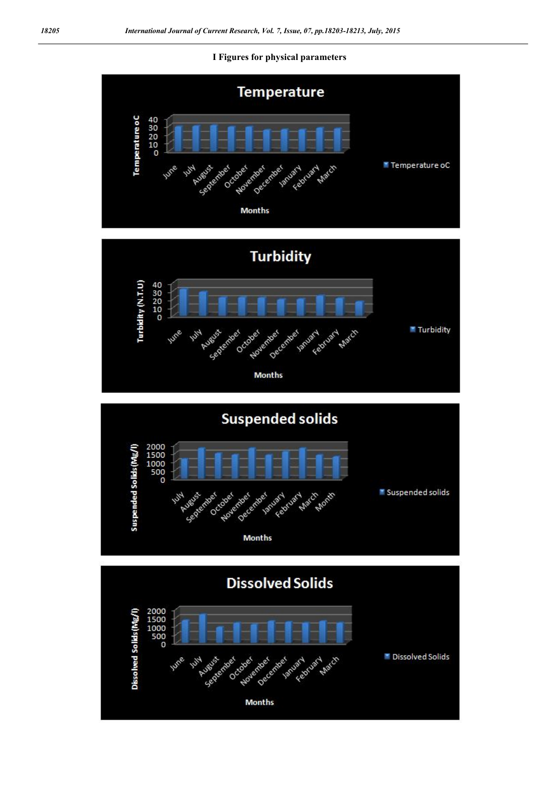## I Figures for physical parameters





**Suspended solids** 



**Dissolved Solids** 2000<br>1500<br>1000<br>500<br>60 **Dissolved Solids (Mg/ March** December va Dissolved Solids February January Octobe Novem **Months**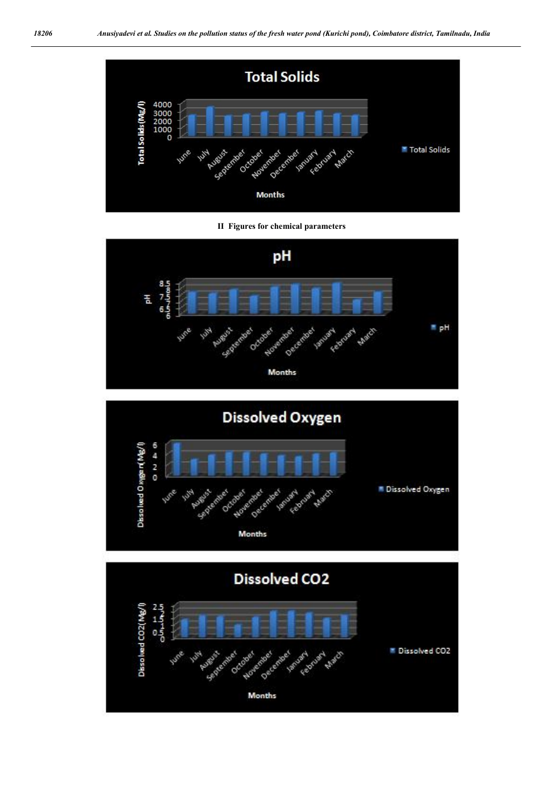





**Dissolved Oxygen**  $0 - 4 = 0$ Dissolved Oxyge n(Mg/l **N** Dissolved Oxygen Oes **Months** 

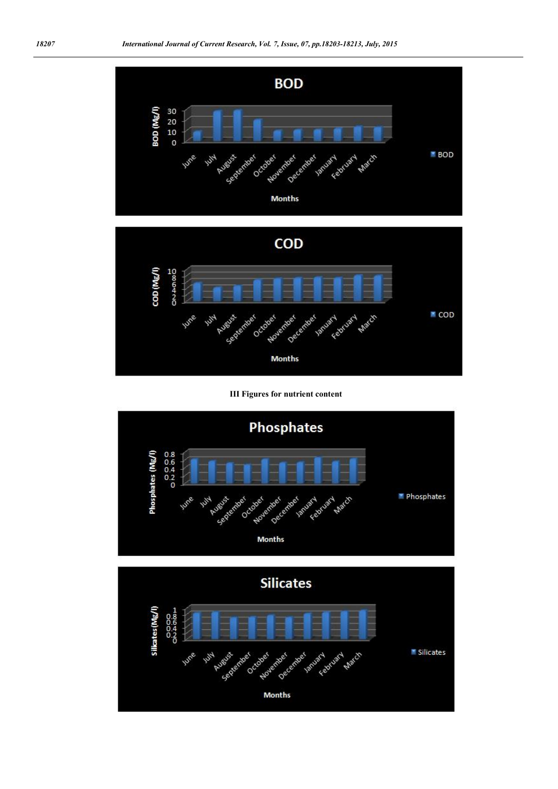



III Figures for nutrient content



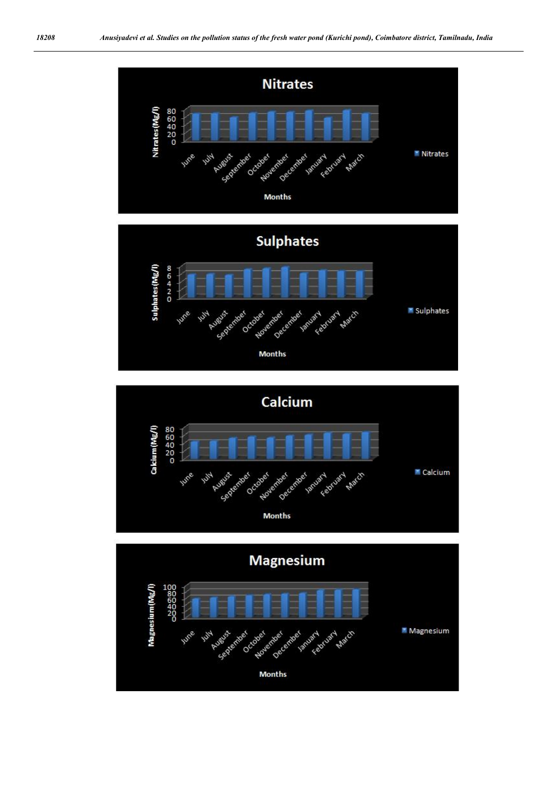



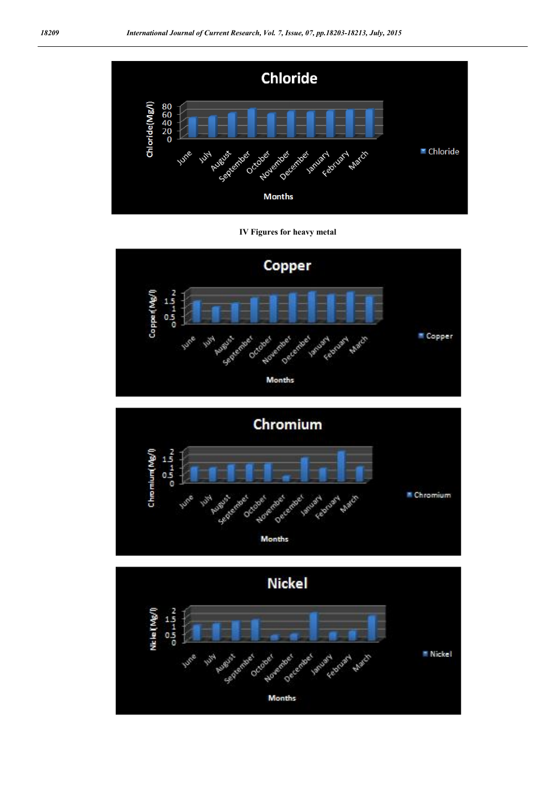

IV Figures for heavy metal





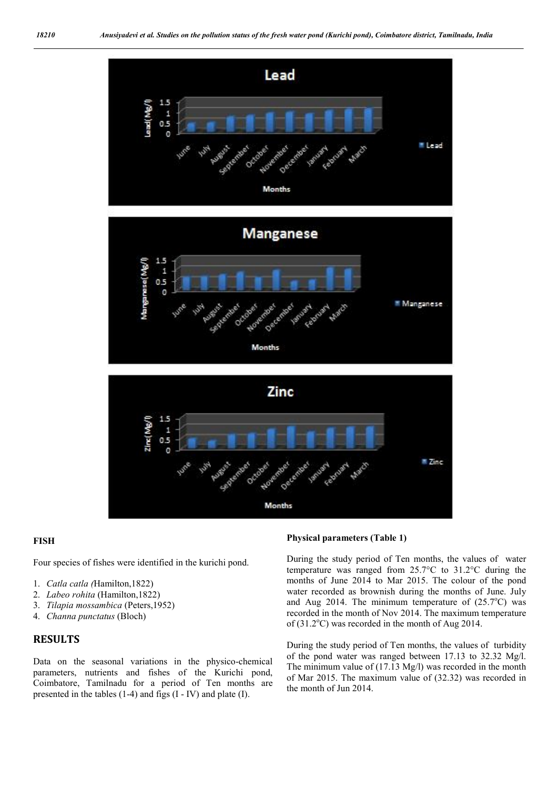

### FISH

Four species of fishes were identified in the kurichi pond.

- 1. *Catla catla (*Hamilton,1822)
- 2. *Labeo rohita* (Hamilton,1822)
- 3. *Tilapia mossambica* (Peters,1952)
- 4. *Channa punctatus* (Bloch)

# RESULTS

Data on the seasonal variations in the physico-chemical parameters, nutrients and fishes of the Kurichi pond, Coimbatore, Tamilnadu for a period of Ten months are presented in the tables (1-4) and figs (I - IV) and plate (I).

#### Physical parameters (Table 1)

During the study period of Ten months, the values of water temperature was ranged from 25.7°C to 31.2°C during the months of June 2014 to Mar 2015. The colour of the pond water recorded as brownish during the months of June. July and Aug 2014. The minimum temperature of  $(25.7^{\circ}C)$  was recorded in the month of Nov 2014. The maximum temperature of (31.2°C) was recorded in the month of Aug 2014.

During the study period of Ten months, the values of turbidity of the pond water was ranged between 17.13 to 32.32 Mg/l. The minimum value of (17.13 Mg/l) was recorded in the month of Mar 2015. The maximum value of (32.32) was recorded in the month of Jun 2014.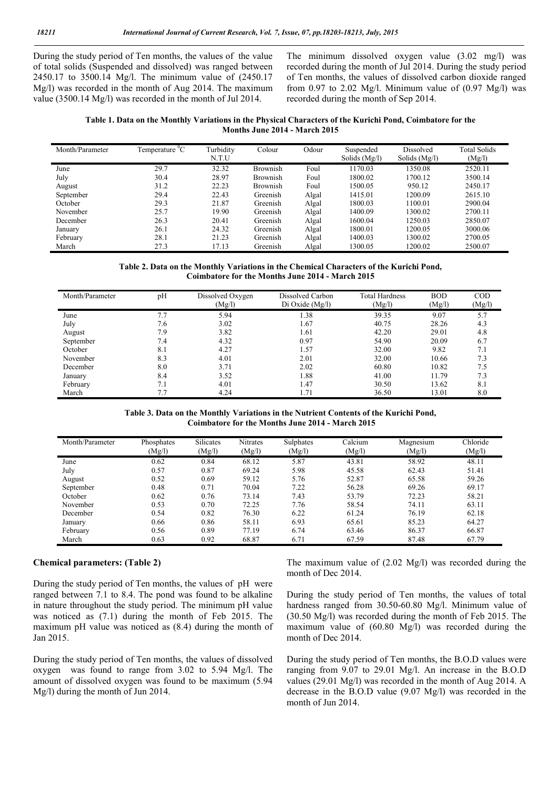During the study period of Ten months, the values of the value of total solids (Suspended and dissolved) was ranged between 2450.17 to 3500.14 Mg/l. The minimum value of (2450.17 Mg/l) was recorded in the month of Aug 2014. The maximum value (3500.14 Mg/l) was recorded in the month of Jul 2014.

The minimum dissolved oxygen value (3.02 mg/l) was recorded during the month of Jul 2014. During the study period of Ten months, the values of dissolved carbon dioxide ranged from 0.97 to 2.02 Mg/l. Minimum value of  $(0.97 \text{ Mg/l})$  was recorded during the month of Sep 2014.

| Table 1. Data on the Monthly Variations in the Physical Characters of the Kurichi Pond, Coimbatore for the |
|------------------------------------------------------------------------------------------------------------|
| <b>Months June 2014 - March 2015</b>                                                                       |

| Month/Parameter | Temperature <sup>0</sup> C | Turbidity<br>N.T.U | Colour          | Odour | Suspended<br>Solids $(Mg/l)$ | Dissolved<br>Solids (Mg/l) | <b>Total Solids</b><br>(Mg/l) |
|-----------------|----------------------------|--------------------|-----------------|-------|------------------------------|----------------------------|-------------------------------|
| June            | 29.7                       | 32.32              | <b>Brownish</b> | Foul  | 1170.03                      | 1350.08                    | 2520.11                       |
| July            | 30.4                       | 28.97              | Brownish        | Foul  | 1800.02                      | 1700.12                    | 3500.14                       |
| August          | 31.2                       | 22.23              | <b>Brownish</b> | Foul  | 1500.05                      | 950.12                     | 2450.17                       |
| September       | 29.4                       | 22.43              | Greenish        | Algal | 1415.01                      | 1200.09                    | 2615.10                       |
| October         | 29.3                       | 21.87              | Greenish        | Algal | 1800.03                      | 1100.01                    | 2900.04                       |
| November        | 25.7                       | 19.90              | Greenish        | Algal | 1400.09                      | 1300.02                    | 2700.11                       |
| December        | 26.3                       | 20.41              | Greenish        | Algal | 1600.04                      | 1250.03                    | 2850.07                       |
| January         | 26.1                       | 24.32              | Greenish        | Algal | 1800.01                      | 1200.05                    | 3000.06                       |
| February        | 28.1                       | 21.23              | Greenish        | Algal | 1400.03                      | 1300.02                    | 2700.05                       |
| March           | 27.3                       | 17.13              | Greenish        | Algal | 1300.05                      | 1200.02                    | 2500.07                       |

Table 2. Data on the Monthly Variations in the Chemical Characters of the Kurichi Pond, Coimbatore for the Months June 2014 - March 2015

| Month/Parameter | pH  | Dissolved Oxygen<br>(Mg/l) | Dissolved Carbon<br>Di Oxide (Mg/l) | <b>Total Hardness</b><br>(Mg/l) | <b>BOD</b><br>(Mg/l) | $\rm{COD}$<br>(Mg/l) |
|-----------------|-----|----------------------------|-------------------------------------|---------------------------------|----------------------|----------------------|
| June            | 7.7 | 5.94                       | 1.38                                | 39.35                           | 9.07                 | 5.7                  |
| July            | 7.6 | 3.02                       | 1.67                                | 40.75                           | 28.26                | 4.3                  |
| August          | 7.9 | 3.82                       | 1.61                                | 42.20                           | 29.01                | 4.8                  |
| September       | 7.4 | 4.32                       | 0.97                                | 54.90                           | 20.09                | 6.7                  |
| October         | 8.1 | 4.27                       | 1.57                                | 32.00                           | 9.82                 | 7.1                  |
| November        | 8.3 | 4.01                       | 2.01                                | 32.00                           | 10.66                | 7.3                  |
| December        | 8.0 | 3.71                       | 2.02                                | 60.80                           | 10.82                | 7.5                  |
| January         | 8.4 | 3.52                       | 1.88                                | 41.00                           | 11.79                | 7.3                  |
| February        | 7.1 | 4.01                       | 1.47                                | 30.50                           | 13.62                | 8.1                  |
| March           |     | 4.24                       | 1.71                                | 36.50                           | 13.01                | 8.0                  |

Table 3. Data on the Monthly Variations in the Nutrient Contents of the Kurichi Pond, Coimbatore for the Months June 2014 - March 2015

| Month/Parameter | Phosphates<br>(Mg/l) | Silicates<br>(Mg/l) | <b>Nitrates</b><br>(Mg/l) | Sulphates<br>(Mg/l) | Calcium<br>(Mg/l) | Magnesium<br>(Mg/l) | Chloride<br>(Mg/l) |
|-----------------|----------------------|---------------------|---------------------------|---------------------|-------------------|---------------------|--------------------|
| June            | 0.62                 | 0.84                | 68.12                     | 5.87                | 43.81             | 58.92               | 48.11              |
| July            | 0.57                 | 0.87                | 69.24                     | 5.98                | 45.58             | 62.43               | 51.41              |
| August          | 0.52                 | 0.69                | 59.12                     | 5.76                | 52.87             | 65.58               | 59.26              |
| September       | 0.48                 | 0.71                | 70.04                     | 7.22                | 56.28             | 69.26               | 69.17              |
| October         | 0.62                 | 0.76                | 73.14                     | 7.43                | 53.79             | 72.23               | 58.21              |
| November        | 0.53                 | 0.70                | 72.25                     | 7.76                | 58.54             | 74.11               | 63.11              |
| December        | 0.54                 | 0.82                | 76.30                     | 6.22                | 61.24             | 76.19               | 62.18              |
| January         | 0.66                 | 0.86                | 58.11                     | 6.93                | 65.61             | 85.23               | 64.27              |
| February        | 0.56                 | 0.89                | 77.19                     | 6.74                | 63.46             | 86.37               | 66.87              |
| March           | 0.63                 | 0.92                | 68.87                     | 6.71                | 67.59             | 87.48               | 67.79              |

#### Chemical parameters: (Table 2)

During the study period of Ten months, the values of pH were ranged between 7.1 to 8.4. The pond was found to be alkaline in nature throughout the study period. The minimum pH value was noticed as (7.1) during the month of Feb 2015. The maximum pH value was noticed as (8.4) during the month of Jan 2015.

During the study period of Ten months, the values of dissolved oxygen was found to range from 3.02 to 5.94 Mg/l. The amount of dissolved oxygen was found to be maximum (5.94 Mg/l) during the month of Jun 2014.

The maximum value of (2.02 Mg/l) was recorded during the month of Dec 2014.

During the study period of Ten months, the values of total hardness ranged from 30.50-60.80 Mg/l. Minimum value of (30.50 Mg/l) was recorded during the month of Feb 2015. The maximum value of (60.80 Mg/l) was recorded during the month of Dec 2014.

During the study period of Ten months, the B.O.D values were ranging from 9.07 to 29.01 Mg/l. An increase in the B.O.D values (29.01 Mg/l) was recorded in the month of Aug 2014. A decrease in the B.O.D value (9.07 Mg/l) was recorded in the month of Jun 2014.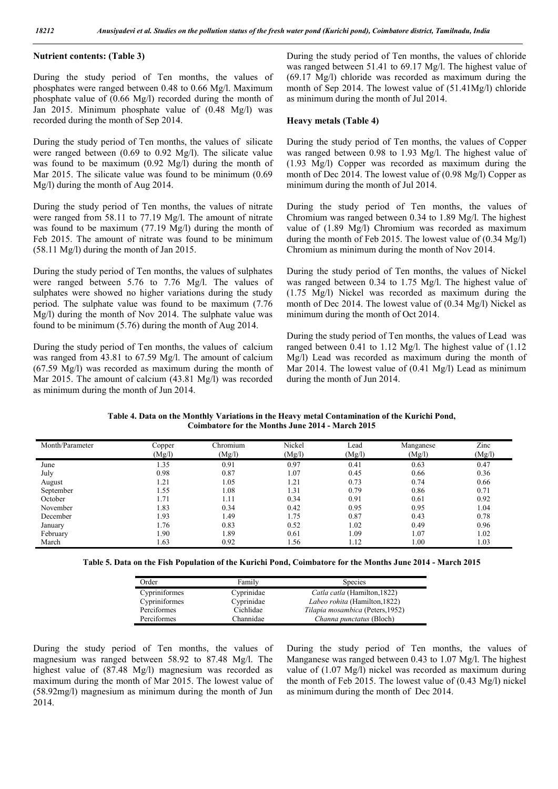# Nutrient contents: (Table 3)

During the study period of Ten months, the values of phosphates were ranged between 0.48 to 0.66 Mg/l. Maximum phosphate value of (0.66 Mg/l) recorded during the month of Jan 2015. Minimum phosphate value of (0.48 Mg/l) was recorded during the month of Sep 2014.

During the study period of Ten months, the values of silicate were ranged between (0.69 to 0.92 Mg/l). The silicate value was found to be maximum (0.92 Mg/l) during the month of Mar 2015. The silicate value was found to be minimum (0.69 Mg/l) during the month of Aug 2014.

During the study period of Ten months, the values of nitrate were ranged from 58.11 to 77.19 Mg/l. The amount of nitrate was found to be maximum (77.19 Mg/l) during the month of Feb 2015. The amount of nitrate was found to be minimum (58.11 Mg/l) during the month of Jan 2015.

During the study period of Ten months, the values of sulphates were ranged between 5.76 to 7.76 Mg/l. The values of sulphates were showed no higher variations during the study period. The sulphate value was found to be maximum (7.76 Mg/l) during the month of Nov 2014. The sulphate value was found to be minimum (5.76) during the month of Aug 2014.

During the study period of Ten months, the values of calcium was ranged from 43.81 to 67.59 Mg/l. The amount of calcium (67.59 Mg/l) was recorded as maximum during the month of Mar 2015. The amount of calcium (43.81 Mg/l) was recorded as minimum during the month of Jun 2014.

During the study period of Ten months, the values of chloride was ranged between 51.41 to 69.17 Mg/l. The highest value of (69.17 Mg/l) chloride was recorded as maximum during the month of Sep 2014. The lowest value of (51.41Mg/l) chloride as minimum during the month of Jul 2014.

## Heavy metals (Table 4)

During the study period of Ten months, the values of Copper was ranged between 0.98 to 1.93 Mg/l. The highest value of (1.93 Mg/l) Copper was recorded as maximum during the month of Dec 2014. The lowest value of (0.98 Mg/l) Copper as minimum during the month of Jul 2014.

During the study period of Ten months, the values of Chromium was ranged between 0.34 to 1.89 Mg/l. The highest value of (1.89 Mg/l) Chromium was recorded as maximum during the month of Feb 2015. The lowest value of (0.34 Mg/l) Chromium as minimum during the month of Nov 2014.

During the study period of Ten months, the values of Nickel was ranged between 0.34 to 1.75 Mg/l. The highest value of (1.75 Mg/l) Nickel was recorded as maximum during the month of Dec 2014. The lowest value of (0.34 Mg/l) Nickel as minimum during the month of Oct 2014.

During the study period of Ten months, the values of Lead was ranged between 0.41 to 1.12 Mg/l. The highest value of (1.12 Mg/l) Lead was recorded as maximum during the month of Mar 2014. The lowest value of (0.41 Mg/l) Lead as minimum during the month of Jun 2014.

Table 4. Data on the Monthly Variations in the Heavy metal Contamination of the Kurichi Pond, Coimbatore for the Months June 2014 - March 2015

| Month/Parameter | Copper<br>(Mg/l) | Chromium<br>(Mg/l) | Nickel<br>(Mg/l) | Lead<br>(Mg/l) | Manganese<br>(Mg/l) | Zinc<br>(Mg/l) |
|-----------------|------------------|--------------------|------------------|----------------|---------------------|----------------|
| June            | 1.35             | 0.91               | 0.97             | 0.41           | 0.63                | 0.47           |
| July            | 0.98             | 0.87               | 1.07             | 0.45           | 0.66                | 0.36           |
| August          | 1.21             | 1.05               | 1.21             | 0.73           | 0.74                | 0.66           |
| September       | 1.55             | 1.08               | 1.31             | 0.79           | 0.86                | 0.71           |
| October         | 1.71             | 1.11               | 0.34             | 0.91           | 0.61                | 0.92           |
| November        | 1.83             | 0.34               | 0.42             | 0.95           | 0.95                | 1.04           |
| December        | 1.93             | 49. ا              | 1.75             | 0.87           | 0.43                | 0.78           |
| January         | l.76             | 0.83               | 0.52             | 1.02           | 0.49                | 0.96           |
| February        | l.90             | 1.89               | 0.61             | 1.09           | 1.07                | 1.02           |
| March           | 1.63             | 0.92               | 1.56             | 1.12           | 1.00                | 1.03           |

Table 5. Data on the Fish Population of the Kurichi Pond, Coimbatore for the Months June 2014 - March 2015

| Order         | Family     | <b>Species</b>                   |
|---------------|------------|----------------------------------|
| Cypriniformes | Cyprinidae | Catla catla (Hamilton, 1822)     |
| Cypriniformes | Cyprinidae | Labeo rohita (Hamilton, 1822)    |
| Perciformes   | Cichlidae  | Tilapia mosambica (Peters, 1952) |
| Perciformes   | Channidae  | Channa punctatus (Bloch)         |

During the study period of Ten months, the values of magnesium was ranged between 58.92 to 87.48 Mg/l. The highest value of (87.48 Mg/l) magnesium was recorded as maximum during the month of Mar 2015. The lowest value of (58.92mg/l) magnesium as minimum during the month of Jun 2014.

During the study period of Ten months, the values of Manganese was ranged between 0.43 to 1.07 Mg/l. The highest value of (1.07 Mg/l) nickel was recorded as maximum during the month of Feb 2015. The lowest value of (0.43 Mg/l) nickel as minimum during the month of Dec 2014.